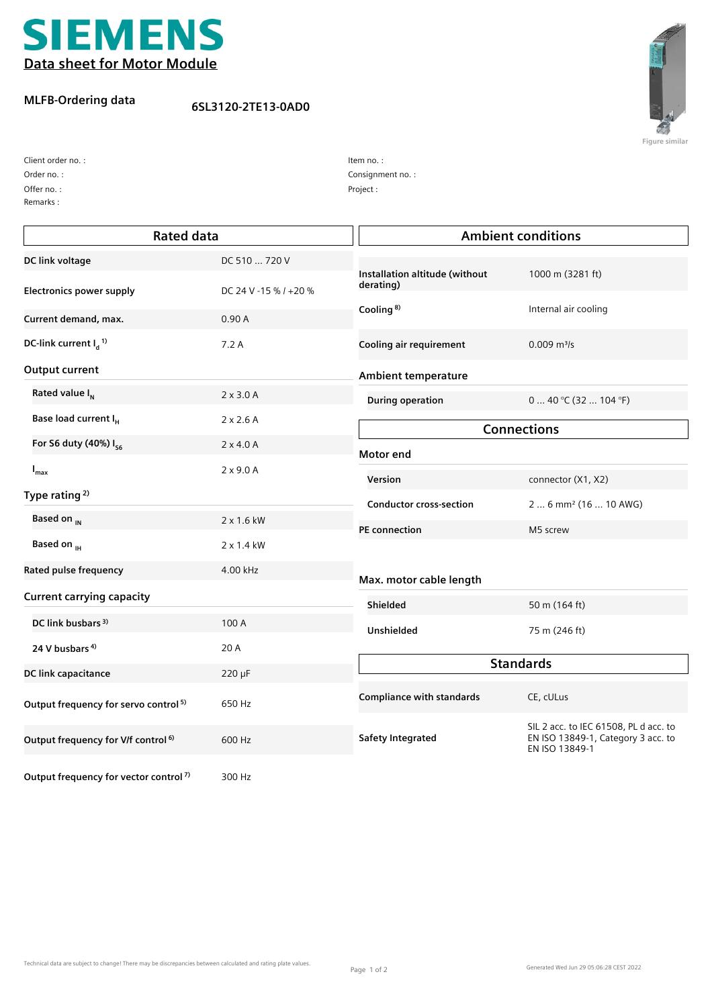

## **MLFB-Ordering data**

## **6SL3120-2TE13-0AD0**



**Figure similar**

Client order no. :

Offer no. : Order no. :

Remarks :

Consignment no. : Item no. : Project :

| <b>Rated data</b>                                 |                       |                                             | <b>Ambient conditions</b>                                                                     |  |
|---------------------------------------------------|-----------------------|---------------------------------------------|-----------------------------------------------------------------------------------------------|--|
| DC link voltage                                   | DC 510  720 V         |                                             |                                                                                               |  |
| <b>Electronics power supply</b>                   | DC 24 V -15 % / +20 % | Installation altitude (without<br>derating) | 1000 m (3281 ft)                                                                              |  |
| Current demand, max.                              | 0.90A                 | Cooling <sup>8)</sup>                       | Internal air cooling                                                                          |  |
| DC-link current $I_d$ <sup>1)</sup>               | 7.2A                  | Cooling air requirement                     | $0.009$ m <sup>3</sup> /s                                                                     |  |
| Output current                                    |                       | Ambient temperature                         |                                                                                               |  |
| Rated value I <sub>N</sub>                        | $2 \times 3.0$ A      | <b>During operation</b>                     | $040$ °C (32  104 °F)                                                                         |  |
| Base load current I <sub>H</sub>                  | $2 \times 2.6$ A      | <b>Connections</b>                          |                                                                                               |  |
| For S6 duty (40%) I <sub>s6</sub>                 | $2 \times 4.0 A$      | Motor end                                   |                                                                                               |  |
| $I_{\text{max}}$                                  | $2 \times 9.0$ A      | Version                                     | connector (X1, X2)                                                                            |  |
| Type rating <sup>2)</sup>                         |                       | <b>Conductor cross-section</b>              | 2  6 mm <sup>2</sup> (16  10 AWG)                                                             |  |
| Based on <sub>IN</sub>                            | 2 x 1.6 kW            | PE connection                               | M5 screw                                                                                      |  |
| Based on <sub>IH</sub>                            | 2 x 1.4 kW            |                                             |                                                                                               |  |
| Rated pulse frequency                             | 4.00 kHz              | Max. motor cable length                     |                                                                                               |  |
| <b>Current carrying capacity</b>                  |                       | Shielded                                    | 50 m (164 ft)                                                                                 |  |
| DC link busbars <sup>3)</sup>                     | 100 A                 | Unshielded                                  | 75 m (246 ft)                                                                                 |  |
| 24 V busbars <sup>4)</sup>                        | 20 A                  |                                             |                                                                                               |  |
| DC link capacitance                               | $220 \mu F$           | <b>Standards</b>                            |                                                                                               |  |
| Output frequency for servo control <sup>5)</sup>  | 650 Hz                | <b>Compliance with standards</b>            | CE, cULus                                                                                     |  |
| Output frequency for V/f control <sup>6)</sup>    | 600 Hz                | <b>Safety Integrated</b>                    | SIL 2 acc. to IEC 61508, PL d acc. to<br>EN ISO 13849-1, Category 3 acc. to<br>EN ISO 13849-1 |  |
| Output frequency for vector control <sup>7)</sup> | 300 Hz                |                                             |                                                                                               |  |